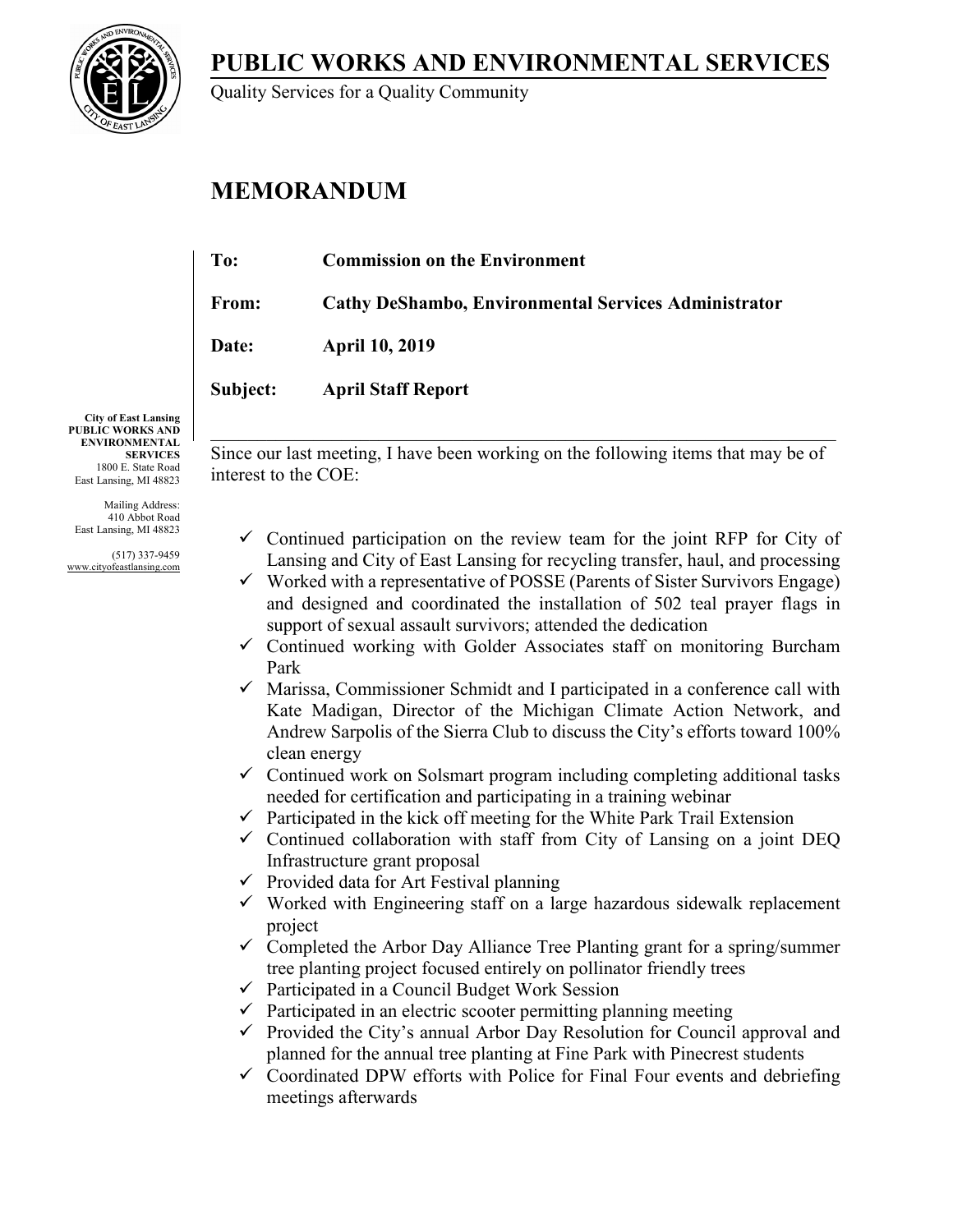**PUBLIC WORKS AND ENVIRONMENTAL SERVICES**



Quality Services for a Quality Community

# **MEMORANDUM**

| To:          | <b>Commission on the Environment</b>                 |
|--------------|------------------------------------------------------|
| From:        | Cathy DeShambo, Environmental Services Administrator |
| <b>Date:</b> | <b>April 10, 2019</b>                                |
| Subject:     | <b>April Staff Report</b>                            |
|              |                                                      |

**City of East Lansing PUBLIC WORKS AND ENVIRONMENTAL SERVICES** 1800 E. State Road East Lansing, MI 48823

Mailing Address: 410 Abbot Road East Lansing, MI 48823

(517) 337-9459 www.cityofeastlansing.com

 $\_$  , and the set of the set of the set of the set of the set of the set of the set of the set of the set of the set of the set of the set of the set of the set of the set of the set of the set of the set of the set of th Since our last meeting, I have been working on the following items that may be of interest to the COE:

- $\checkmark$  Continued participation on the review team for the joint RFP for City of Lansing and City of East Lansing for recycling transfer, haul, and processing
- $\checkmark$  Worked with a representative of POSSE (Parents of Sister Survivors Engage) and designed and coordinated the installation of 502 teal prayer flags in support of sexual assault survivors; attended the dedication
- $\checkmark$  Continued working with Golder Associates staff on monitoring Burcham Park
- $\checkmark$  Marissa, Commissioner Schmidt and I participated in a conference call with Kate Madigan, Director of the Michigan Climate Action Network, and Andrew Sarpolis of the Sierra Club to discuss the City's efforts toward 100% clean energy
- $\checkmark$  Continued work on Solsmart program including completing additional tasks needed for certification and participating in a training webinar
- $\checkmark$  Participated in the kick off meeting for the White Park Trail Extension
- $\checkmark$  Continued collaboration with staff from City of Lansing on a joint DEQ Infrastructure grant proposal
- $\checkmark$  Provided data for Art Festival planning
- $\checkmark$  Worked with Engineering staff on a large hazardous sidewalk replacement project
- $\checkmark$  Completed the Arbor Day Alliance Tree Planting grant for a spring/summer tree planting project focused entirely on pollinator friendly trees
- $\checkmark$  Participated in a Council Budget Work Session
- $\checkmark$  Participated in an electric scooter permitting planning meeting
- $\checkmark$  Provided the City's annual Arbor Day Resolution for Council approval and planned for the annual tree planting at Fine Park with Pinecrest students
- $\checkmark$  Coordinated DPW efforts with Police for Final Four events and debriefing meetings afterwards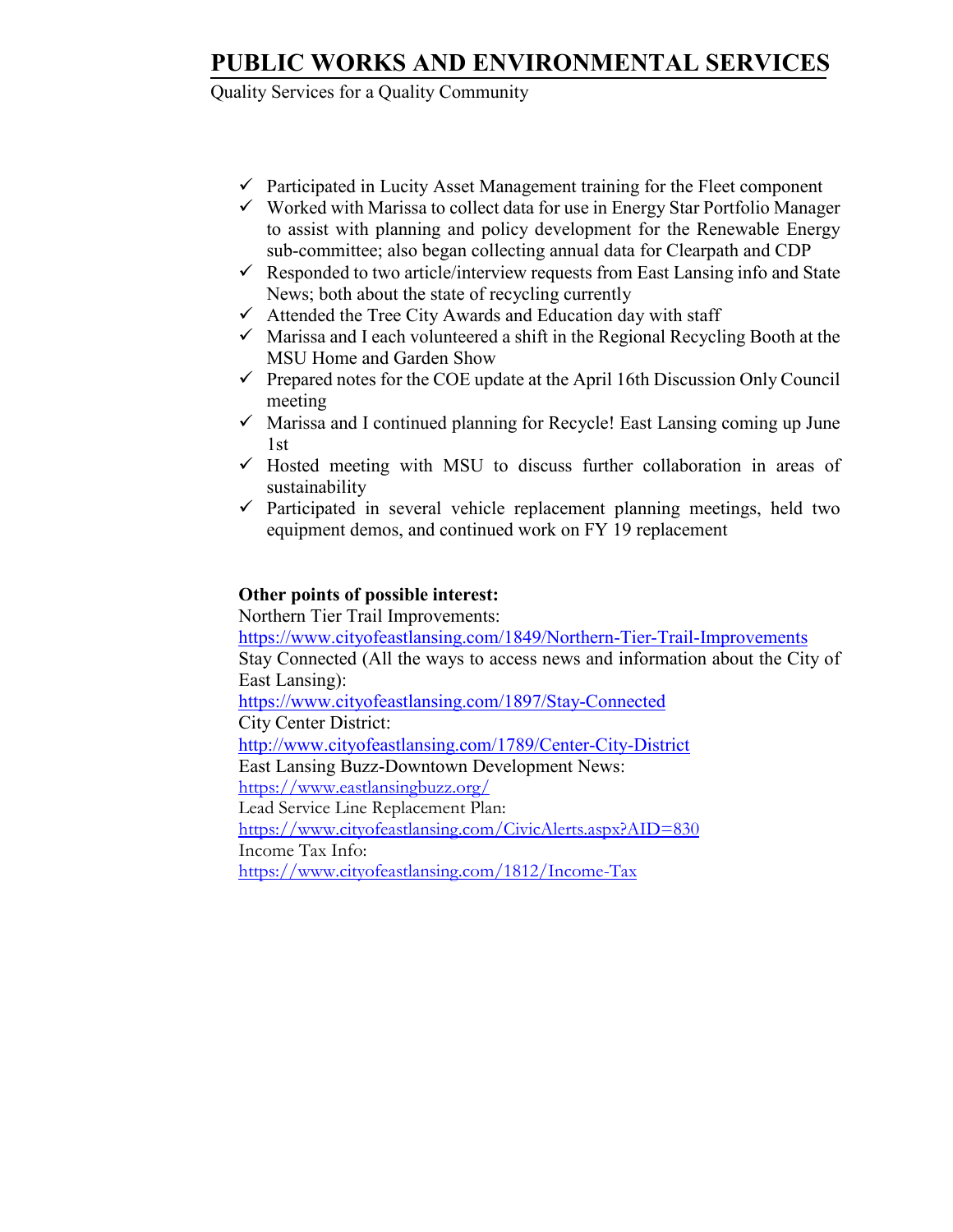## **PUBLIC WORKS AND ENVIRONMENTAL SERVICES**

Quality Services for a Quality Community

- $\checkmark$  Participated in Lucity Asset Management training for the Fleet component
- $\checkmark$  Worked with Marissa to collect data for use in Energy Star Portfolio Manager to assist with planning and policy development for the Renewable Energy sub-committee; also began collecting annual data for Clearpath and CDP
- $\checkmark$  Responded to two article/interview requests from East Lansing info and State News; both about the state of recycling currently
- $\checkmark$  Attended the Tree City Awards and Education day with staff
- $\checkmark$  Marissa and I each volunteered a shift in the Regional Recycling Booth at the MSU Home and Garden Show
- $\checkmark$  Prepared notes for the COE update at the April 16th Discussion Only Council meeting
- $\checkmark$  Marissa and I continued planning for Recycle! East Lansing coming up June 1st
- $\checkmark$  Hosted meeting with MSU to discuss further collaboration in areas of sustainability
- $\checkmark$  Participated in several vehicle replacement planning meetings, held two equipment demos, and continued work on FY 19 replacement

### **Other points of possible interest:**

 Northern Tier Trail Improvements: <https://www.cityofeastlansing.com/1849/Northern-Tier-Trail-Improvements> Stay Connected (All the ways to access news and information about the City of East Lansing): <https://www.cityofeastlansing.com/1897/Stay-Connected> City Center District: <http://www.cityofeastlansing.com/1789/Center-City-District> East Lansing Buzz-Downtown Development News: <https://www.eastlansingbuzz.org/> Lead Service Line Replacement Plan: <https://www.cityofeastlansing.com/CivicAlerts.aspx?AID=830> Income Tax Info: <https://www.cityofeastlansing.com/1812/Income-Tax>